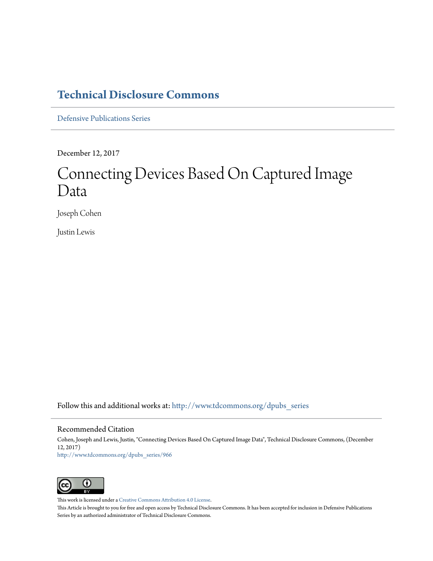# **[Technical Disclosure Commons](http://www.tdcommons.org?utm_source=www.tdcommons.org%2Fdpubs_series%2F966&utm_medium=PDF&utm_campaign=PDFCoverPages)**

[Defensive Publications Series](http://www.tdcommons.org/dpubs_series?utm_source=www.tdcommons.org%2Fdpubs_series%2F966&utm_medium=PDF&utm_campaign=PDFCoverPages)

December 12, 2017

# Connecting Devices Based On Captured Image Data

Joseph Cohen

Justin Lewis

Follow this and additional works at: [http://www.tdcommons.org/dpubs\\_series](http://www.tdcommons.org/dpubs_series?utm_source=www.tdcommons.org%2Fdpubs_series%2F966&utm_medium=PDF&utm_campaign=PDFCoverPages)

#### Recommended Citation

Cohen, Joseph and Lewis, Justin, "Connecting Devices Based On Captured Image Data", Technical Disclosure Commons, (December 12, 2017) [http://www.tdcommons.org/dpubs\\_series/966](http://www.tdcommons.org/dpubs_series/966?utm_source=www.tdcommons.org%2Fdpubs_series%2F966&utm_medium=PDF&utm_campaign=PDFCoverPages)



This work is licensed under a [Creative Commons Attribution 4.0 License.](http://creativecommons.org/licenses/by/4.0/deed.en_US)

This Article is brought to you for free and open access by Technical Disclosure Commons. It has been accepted for inclusion in Defensive Publications Series by an authorized administrator of Technical Disclosure Commons.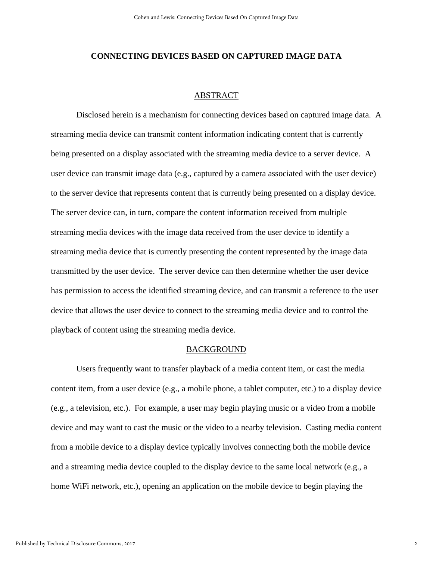### **CONNECTING DEVICES BASED ON CAPTURED IMAGE DATA**

## ABSTRACT

 Disclosed herein is a mechanism for connecting devices based on captured image data. A streaming media device can transmit content information indicating content that is currently being presented on a display associated with the streaming media device to a server device. A user device can transmit image data (e.g., captured by a camera associated with the user device) to the server device that represents content that is currently being presented on a display device. The server device can, in turn, compare the content information received from multiple streaming media devices with the image data received from the user device to identify a streaming media device that is currently presenting the content represented by the image data transmitted by the user device. The server device can then determine whether the user device has permission to access the identified streaming device, and can transmit a reference to the user device that allows the user device to connect to the streaming media device and to control the playback of content using the streaming media device.

#### BACKGROUND

 Users frequently want to transfer playback of a media content item, or cast the media content item, from a user device (e.g., a mobile phone, a tablet computer, etc.) to a display device (e.g., a television, etc.). For example, a user may begin playing music or a video from a mobile device and may want to cast the music or the video to a nearby television. Casting media content from a mobile device to a display device typically involves connecting both the mobile device and a streaming media device coupled to the display device to the same local network (e.g., a home WiFi network, etc.), opening an application on the mobile device to begin playing the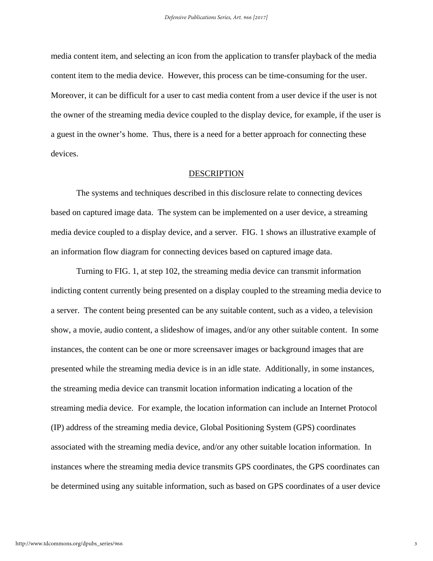media content item, and selecting an icon from the application to transfer playback of the media content item to the media device. However, this process can be time-consuming for the user. Moreover, it can be difficult for a user to cast media content from a user device if the user is not the owner of the streaming media device coupled to the display device, for example, if the user is a guest in the owner's home. Thus, there is a need for a better approach for connecting these devices.

#### DESCRIPTION

 The systems and techniques described in this disclosure relate to connecting devices based on captured image data. The system can be implemented on a user device, a streaming media device coupled to a display device, and a server. FIG. 1 shows an illustrative example of an information flow diagram for connecting devices based on captured image data.

 Turning to FIG. 1, at step 102, the streaming media device can transmit information indicting content currently being presented on a display coupled to the streaming media device to a server. The content being presented can be any suitable content, such as a video, a television show, a movie, audio content, a slideshow of images, and/or any other suitable content. In some instances, the content can be one or more screensaver images or background images that are presented while the streaming media device is in an idle state. Additionally, in some instances, the streaming media device can transmit location information indicating a location of the streaming media device. For example, the location information can include an Internet Protocol (IP) address of the streaming media device, Global Positioning System (GPS) coordinates associated with the streaming media device, and/or any other suitable location information. In instances where the streaming media device transmits GPS coordinates, the GPS coordinates can be determined using any suitable information, such as based on GPS coordinates of a user device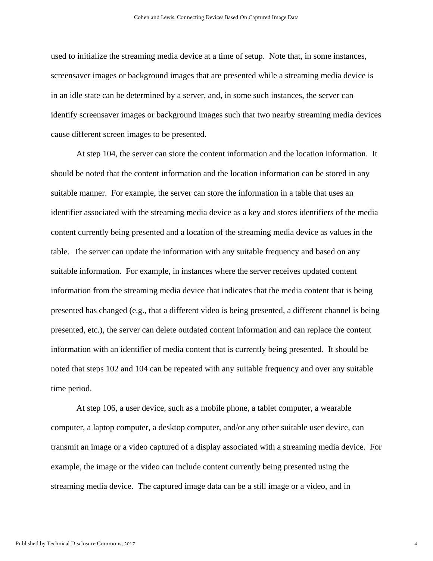used to initialize the streaming media device at a time of setup. Note that, in some instances, screensaver images or background images that are presented while a streaming media device is in an idle state can be determined by a server, and, in some such instances, the server can identify screensaver images or background images such that two nearby streaming media devices cause different screen images to be presented.

 At step 104, the server can store the content information and the location information. It should be noted that the content information and the location information can be stored in any suitable manner. For example, the server can store the information in a table that uses an identifier associated with the streaming media device as a key and stores identifiers of the media content currently being presented and a location of the streaming media device as values in the table. The server can update the information with any suitable frequency and based on any suitable information. For example, in instances where the server receives updated content information from the streaming media device that indicates that the media content that is being presented has changed (e.g., that a different video is being presented, a different channel is being presented, etc.), the server can delete outdated content information and can replace the content information with an identifier of media content that is currently being presented. It should be noted that steps 102 and 104 can be repeated with any suitable frequency and over any suitable time period.

 At step 106, a user device, such as a mobile phone, a tablet computer, a wearable computer, a laptop computer, a desktop computer, and/or any other suitable user device, can transmit an image or a video captured of a display associated with a streaming media device. For example, the image or the video can include content currently being presented using the streaming media device. The captured image data can be a still image or a video, and in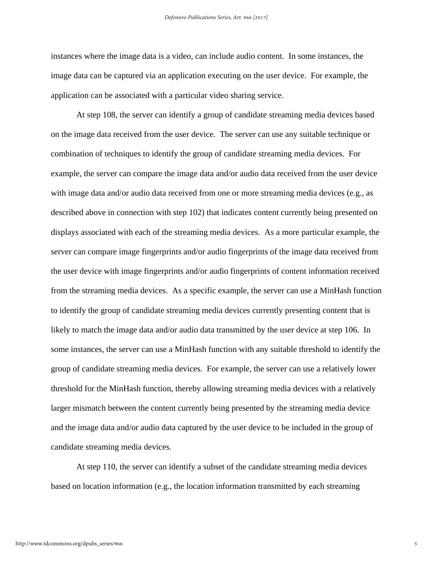instances where the image data is a video, can include audio content. In some instances, the image data can be captured via an application executing on the user device. For example, the application can be associated with a particular video sharing service.

 At step 108, the server can identify a group of candidate streaming media devices based on the image data received from the user device. The server can use any suitable technique or combination of techniques to identify the group of candidate streaming media devices. For example, the server can compare the image data and/or audio data received from the user device with image data and/or audio data received from one or more streaming media devices (e.g., as described above in connection with step 102) that indicates content currently being presented on displays associated with each of the streaming media devices. As a more particular example, the server can compare image fingerprints and/or audio fingerprints of the image data received from the user device with image fingerprints and/or audio fingerprints of content information received from the streaming media devices. As a specific example, the server can use a MinHash function to identify the group of candidate streaming media devices currently presenting content that is likely to match the image data and/or audio data transmitted by the user device at step 106. In some instances, the server can use a MinHash function with any suitable threshold to identify the group of candidate streaming media devices. For example, the server can use a relatively lower threshold for the MinHash function, thereby allowing streaming media devices with a relatively larger mismatch between the content currently being presented by the streaming media device and the image data and/or audio data captured by the user device to be included in the group of candidate streaming media devices.

 At step 110, the server can identify a subset of the candidate streaming media devices based on location information (e.g., the location information transmitted by each streaming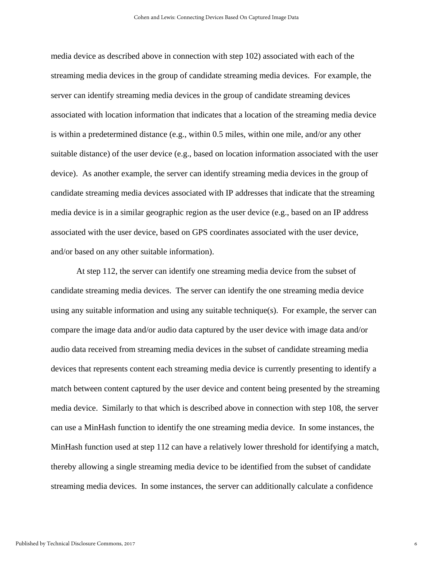media device as described above in connection with step 102) associated with each of the streaming media devices in the group of candidate streaming media devices. For example, the server can identify streaming media devices in the group of candidate streaming devices associated with location information that indicates that a location of the streaming media device is within a predetermined distance (e.g., within 0.5 miles, within one mile, and/or any other suitable distance) of the user device (e.g., based on location information associated with the user device). As another example, the server can identify streaming media devices in the group of candidate streaming media devices associated with IP addresses that indicate that the streaming media device is in a similar geographic region as the user device (e.g., based on an IP address associated with the user device, based on GPS coordinates associated with the user device, and/or based on any other suitable information).

 At step 112, the server can identify one streaming media device from the subset of candidate streaming media devices. The server can identify the one streaming media device using any suitable information and using any suitable technique(s). For example, the server can compare the image data and/or audio data captured by the user device with image data and/or audio data received from streaming media devices in the subset of candidate streaming media devices that represents content each streaming media device is currently presenting to identify a match between content captured by the user device and content being presented by the streaming media device. Similarly to that which is described above in connection with step 108, the server can use a MinHash function to identify the one streaming media device. In some instances, the MinHash function used at step 112 can have a relatively lower threshold for identifying a match, thereby allowing a single streaming media device to be identified from the subset of candidate streaming media devices. In some instances, the server can additionally calculate a confidence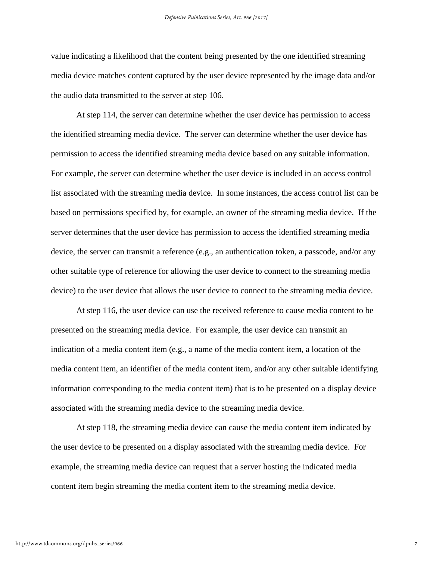value indicating a likelihood that the content being presented by the one identified streaming media device matches content captured by the user device represented by the image data and/or the audio data transmitted to the server at step 106.

 At step 114, the server can determine whether the user device has permission to access the identified streaming media device. The server can determine whether the user device has permission to access the identified streaming media device based on any suitable information. For example, the server can determine whether the user device is included in an access control list associated with the streaming media device. In some instances, the access control list can be based on permissions specified by, for example, an owner of the streaming media device. If the server determines that the user device has permission to access the identified streaming media device, the server can transmit a reference (e.g., an authentication token, a passcode, and/or any other suitable type of reference for allowing the user device to connect to the streaming media device) to the user device that allows the user device to connect to the streaming media device.

 At step 116, the user device can use the received reference to cause media content to be presented on the streaming media device. For example, the user device can transmit an indication of a media content item (e.g., a name of the media content item, a location of the media content item, an identifier of the media content item, and/or any other suitable identifying information corresponding to the media content item) that is to be presented on a display device associated with the streaming media device to the streaming media device.

 At step 118, the streaming media device can cause the media content item indicated by the user device to be presented on a display associated with the streaming media device. For example, the streaming media device can request that a server hosting the indicated media content item begin streaming the media content item to the streaming media device.